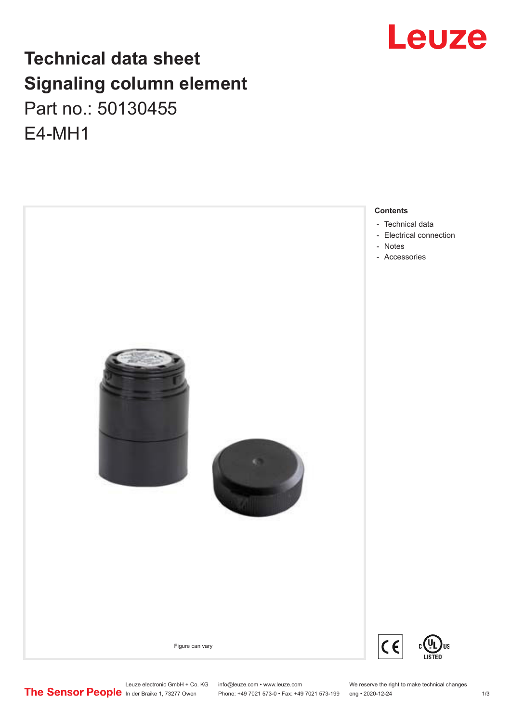# **Technical data sheet Signaling column element** Part no.: 50130455 E4-MH1





Leuze electronic GmbH + Co. KG info@leuze.com • www.leuze.com We reserve the right to make technical changes<br>
The Sensor People in der Braike 1, 73277 Owen Phone: +49 7021 573-0 • Fax: +49 7021 573-199 eng • 2020-12-24

Phone: +49 7021 573-0 • Fax: +49 7021 573-199 eng • 2020-12-24 1 2020-12-24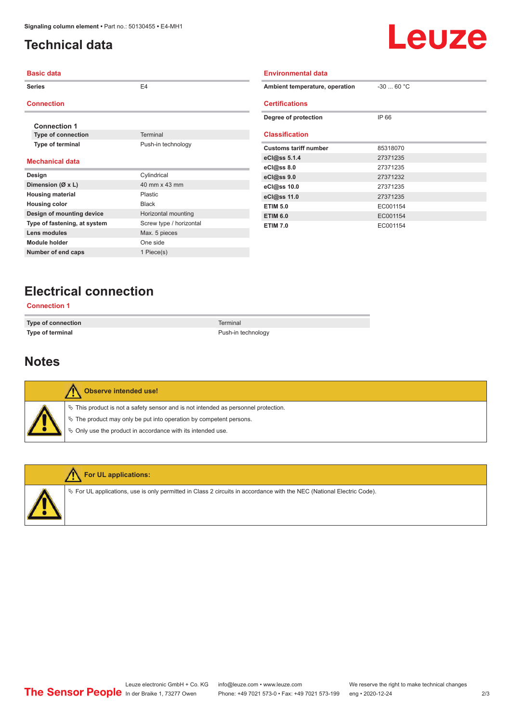# <span id="page-1-0"></span>**Technical data**



| <b>Basic data</b>            |                         | <b>Environmental data</b>      |             |  |  |
|------------------------------|-------------------------|--------------------------------|-------------|--|--|
| <b>Series</b>                | E <sub>4</sub>          | Ambient temperature, operation | $-30$ 60 °C |  |  |
| <b>Connection</b>            |                         | <b>Certifications</b>          |             |  |  |
| <b>Connection 1</b>          |                         | Degree of protection           | IP 66       |  |  |
| <b>Type of connection</b>    | Terminal                | <b>Classification</b>          |             |  |  |
| Type of terminal             | Push-in technology      | <b>Customs tariff number</b>   | 85318070    |  |  |
| <b>Mechanical data</b>       |                         | eCl@ss 5.1.4                   | 27371235    |  |  |
|                              |                         | eCl@ss 8.0                     | 27371235    |  |  |
| Design                       | Cylindrical             | eCl@ss 9.0                     | 27371232    |  |  |
| Dimension (Ø x L)            | 40 mm x 43 mm           | eCl@ss 10.0                    | 27371235    |  |  |
| <b>Housing material</b>      | Plastic                 | eCl@ss 11.0                    | 27371235    |  |  |
| <b>Housing color</b>         | Black                   | <b>ETIM 5.0</b>                | EC001154    |  |  |
| Design of mounting device    | Horizontal mounting     | <b>ETIM 6.0</b>                | EC001154    |  |  |
| Type of fastening, at system | Screw type / horizontal | <b>ETIM 7.0</b>                | EC001154    |  |  |
| Lens modules                 | Max. 5 pieces           |                                |             |  |  |
| <b>Module holder</b>         | One side                |                                |             |  |  |
| Number of end caps           | 1 Piece(s)              |                                |             |  |  |

# **Electrical connection**

**Connection 1**

**Type of connection** Terminal **Type of terminal** Push-in technology

### **Notes**

| <b>Observe intended use!</b>                                                          |
|---------------------------------------------------------------------------------------|
| $\%$ This product is not a safety sensor and is not intended as personnel protection. |
| $\%$ The product may only be put into operation by competent persons.                 |
| $\%$ Only use the product in accordance with its intended use.                        |
|                                                                                       |



#### **For UL applications:**

ª For UL applications, use is only permitted in Class 2 circuits in accordance with the NEC (National Electric Code).